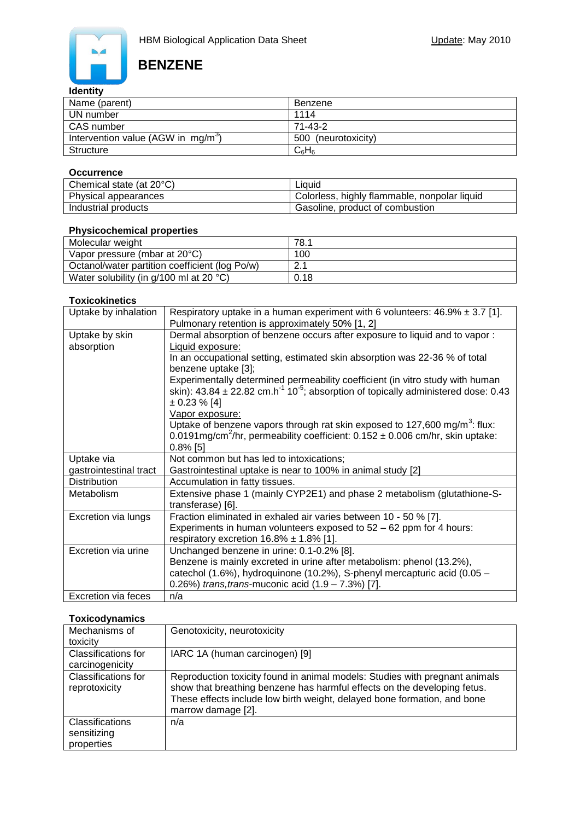

# **BENZENE**

## **Identity**

| Name (parent)                                  | Benzene             |
|------------------------------------------------|---------------------|
| UN number                                      | 1114                |
| CAS number                                     | $71 - 43 - 2$       |
| Intervention value (AGW in mg/m <sup>3</sup> ) | 500 (neurotoxicity) |
| Structure                                      | $C_6H_6$            |

#### **Occurrence**

| Chemical state (at 20°C) | Liauid                                       |
|--------------------------|----------------------------------------------|
| Physical appearances     | Colorless, highly flammable, nonpolar liquid |
| Industrial products      | Gasoline, product of combustion              |

## **Physicochemical properties**

| Molecular weight                               | 78.1       |
|------------------------------------------------|------------|
| Vapor pressure (mbar at 20°C)                  | 100        |
| Octanol/water partition coefficient (log Po/w) | $\Omega$ 1 |
| Water solubility (in $g/100$ ml at 20 °C)      | 0.18       |

#### **Toxicokinetics**

| Uptake by inhalation         | Respiratory uptake in a human experiment with 6 volunteers: $46.9\% \pm 3.7$ [1].<br>Pulmonary retention is approximately 50% [1, 2]                                                                                                                                                                    |
|------------------------------|---------------------------------------------------------------------------------------------------------------------------------------------------------------------------------------------------------------------------------------------------------------------------------------------------------|
| Uptake by skin<br>absorption | Dermal absorption of benzene occurs after exposure to liquid and to vapor:<br>Liquid exposure:<br>In an occupational setting, estimated skin absorption was 22-36 % of total                                                                                                                            |
|                              | benzene uptake [3];<br>Experimentally determined permeability coefficient (in vitro study with human<br>skin): $43.84 \pm 22.82$ cm.h <sup>-1</sup> 10 <sup>-5</sup> ; absorption of topically administered dose: 0.43<br>$\pm 0.23 \% [4]$                                                             |
|                              | Vapor exposure:<br>Uptake of benzene vapors through rat skin exposed to 127,600 mg/m <sup>3</sup> : flux:<br>0.0191mg/cm <sup>2</sup> /hr, permeability coefficient: $0.152 \pm 0.006$ cm/hr, skin uptake:<br>$0.8\%$ [5]                                                                               |
|                              |                                                                                                                                                                                                                                                                                                         |
| Uptake via                   | Not common but has led to intoxications;                                                                                                                                                                                                                                                                |
| gastrointestinal tract       | Gastrointestinal uptake is near to 100% in animal study [2]                                                                                                                                                                                                                                             |
| <b>Distribution</b>          | Accumulation in fatty tissues.                                                                                                                                                                                                                                                                          |
| Metabolism                   | Extensive phase 1 (mainly CYP2E1) and phase 2 metabolism (glutathione-S-<br>transferase) [6].                                                                                                                                                                                                           |
| Excretion via lungs          | Fraction eliminated in exhaled air varies between 10 - 50 % [7].<br>Experiments in human volunteers exposed to $52 - 62$ ppm for 4 hours:                                                                                                                                                               |
| Excretion via urine          | respiratory excretion $16.8\% \pm 1.8\%$ [1].<br>Unchanged benzene in urine: 0.1-0.2% [8].<br>Benzene is mainly excreted in urine after metabolism: phenol (13.2%),<br>catechol (1.6%), hydroquinone (10.2%), S-phenyl mercapturic acid (0.05 -<br>0.26%) trans, trans-muconic acid $(1.9 - 7.3%)$ [7]. |

### **Toxicodynamics**

| Mechanisms of<br>toxicity                    | Genotoxicity, neurotoxicity                                                                                                                                                                                                                               |
|----------------------------------------------|-----------------------------------------------------------------------------------------------------------------------------------------------------------------------------------------------------------------------------------------------------------|
| Classifications for<br>carcinogenicity       | IARC 1A (human carcinogen) [9]                                                                                                                                                                                                                            |
| Classifications for<br>reprotoxicity         | Reproduction toxicity found in animal models: Studies with pregnant animals<br>show that breathing benzene has harmful effects on the developing fetus.<br>These effects include low birth weight, delayed bone formation, and bone<br>marrow damage [2]. |
| Classifications<br>sensitizing<br>properties | n/a                                                                                                                                                                                                                                                       |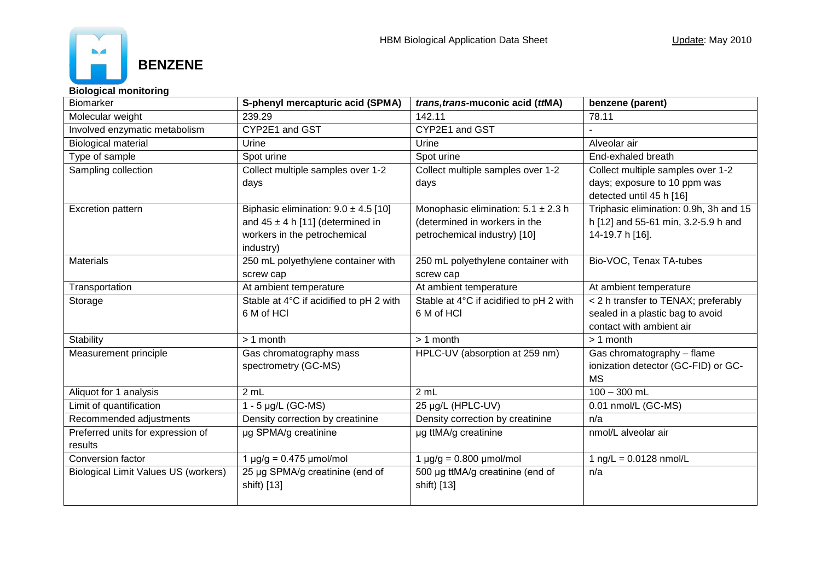

## **Biological monitoring**

| <b>Biomarker</b>                            | S-phenyl mercapturic acid (SPMA)         | <i>trans, trans-muconic acid (ttMA)</i> | benzene (parent)                       |
|---------------------------------------------|------------------------------------------|-----------------------------------------|----------------------------------------|
| Molecular weight                            | 239.29                                   | 142.11                                  | 78.11                                  |
| Involved enzymatic metabolism               | CYP2E1 and GST                           | CYP2E1 and GST                          |                                        |
| <b>Biological material</b>                  | Urine                                    | Urine                                   | Alveolar air                           |
| Type of sample                              | Spot urine                               | Spot urine                              | End-exhaled breath                     |
| Sampling collection                         | Collect multiple samples over 1-2        | Collect multiple samples over 1-2       | Collect multiple samples over 1-2      |
|                                             | days                                     | days                                    | days; exposure to 10 ppm was           |
|                                             |                                          |                                         | detected until 45 h [16]               |
| <b>Excretion pattern</b>                    | Biphasic elimination: $9.0 \pm 4.5$ [10] | Monophasic elimination: $5.1 \pm 2.3$ h | Triphasic elimination: 0.9h, 3h and 15 |
|                                             | and $45 \pm 4$ h [11] (determined in     | (determined in workers in the           | h [12] and 55-61 min, 3.2-5.9 h and    |
|                                             | workers in the petrochemical             | petrochemical industry) [10]            | 14-19.7 h [16].                        |
|                                             | industry)                                |                                         |                                        |
| <b>Materials</b>                            | 250 mL polyethylene container with       | 250 mL polyethylene container with      | Bio-VOC, Tenax TA-tubes                |
|                                             | screw cap                                | screw cap                               |                                        |
| Transportation                              | At ambient temperature                   | At ambient temperature                  | At ambient temperature                 |
| Storage                                     | Stable at 4°C if acidified to pH 2 with  | Stable at 4°C if acidified to pH 2 with | < 2 h transfer to TENAX; preferably    |
|                                             | 6 M of HCI                               | 6 M of HCI                              | sealed in a plastic bag to avoid       |
|                                             |                                          |                                         | contact with ambient air               |
| Stability                                   | $> 1$ month                              | > 1 month                               | $> 1$ month                            |
| Measurement principle                       | Gas chromatography mass                  | HPLC-UV (absorption at 259 nm)          | Gas chromatography - flame             |
|                                             | spectrometry (GC-MS)                     |                                         | ionization detector (GC-FID) or GC-    |
|                                             |                                          |                                         | <b>MS</b>                              |
| Aliquot for 1 analysis                      | 2 mL                                     | 2 mL                                    | $100 - 300$ mL                         |
| Limit of quantification                     | 1 - 5 $\mu$ g/L (GC-MS)                  | 25 µg/L (HPLC-UV)                       | 0.01 nmol/L (GC-MS)                    |
| Recommended adjustments                     | Density correction by creatinine         | Density correction by creatinine        | n/a                                    |
| Preferred units for expression of           | µg SPMA/g creatinine                     | µg ttMA/g creatinine                    | nmol/L alveolar air                    |
| results                                     |                                          |                                         |                                        |
| Conversion factor                           | $1 \mu g/g = 0.475 \mu mol/mol$          | $1 \mu g/g = 0.800 \mu mol/mol$         | 1 ng/L = $0.0128$ nmol/L               |
| <b>Biological Limit Values US (workers)</b> | 25 µg SPMA/g creatinine (end of          | 500 µg ttMA/g creatinine (end of        | n/a                                    |
|                                             | shift) [13]                              | shift) [13]                             |                                        |
|                                             |                                          |                                         |                                        |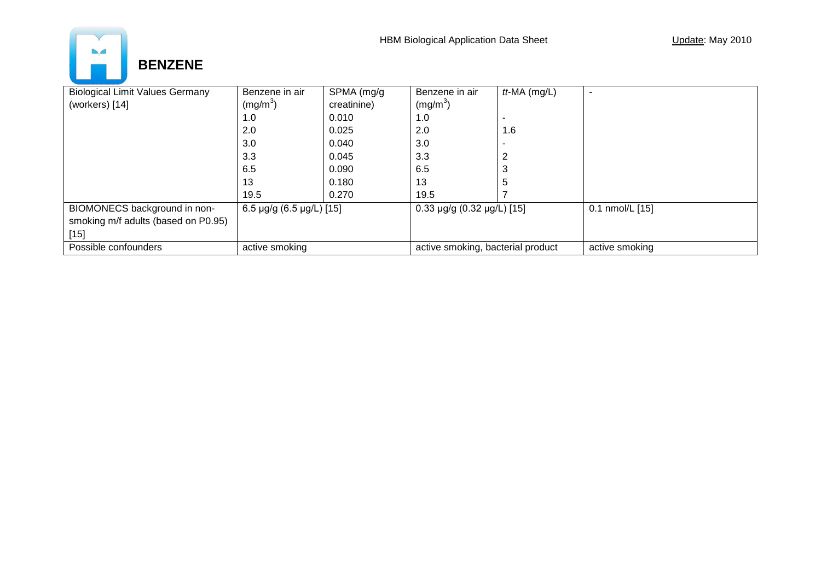

| <b>Biological Limit Values Germany</b> | Benzene in air                     | SPMA (mg/g  | Benzene in air                    | $tt$ -MA $(mg/L)$ |                 |
|----------------------------------------|------------------------------------|-------------|-----------------------------------|-------------------|-----------------|
| (workers) [14]                         | (mg/m <sup>3</sup> )               | creatinine) | (mg/m <sup>3</sup> )              |                   |                 |
|                                        | 1.0                                | 0.010       | 1.0                               |                   |                 |
|                                        | 2.0                                | 0.025       | 2.0                               | 1.6               |                 |
|                                        | 3.0                                | 0.040       | 3.0                               |                   |                 |
|                                        | 3.3                                | 0.045       | 3.3                               |                   |                 |
|                                        | 6.5                                | 0.090       | 6.5                               | З                 |                 |
|                                        | 13                                 | 0.180       | 13                                | ა                 |                 |
|                                        | 19.5                               | 0.270       | 19.5                              |                   |                 |
| BIOMONECS background in non-           | 6.5 $\mu$ g/g (6.5 $\mu$ g/L) [15] |             | 0.33 µg/g (0.32 µg/L) [15]        |                   | 0.1 nmol/L [15] |
| smoking m/f adults (based on P0.95)    |                                    |             |                                   |                   |                 |
| $[15]$                                 |                                    |             |                                   |                   |                 |
| Possible confounders                   | active smoking                     |             | active smoking, bacterial product |                   | active smoking  |